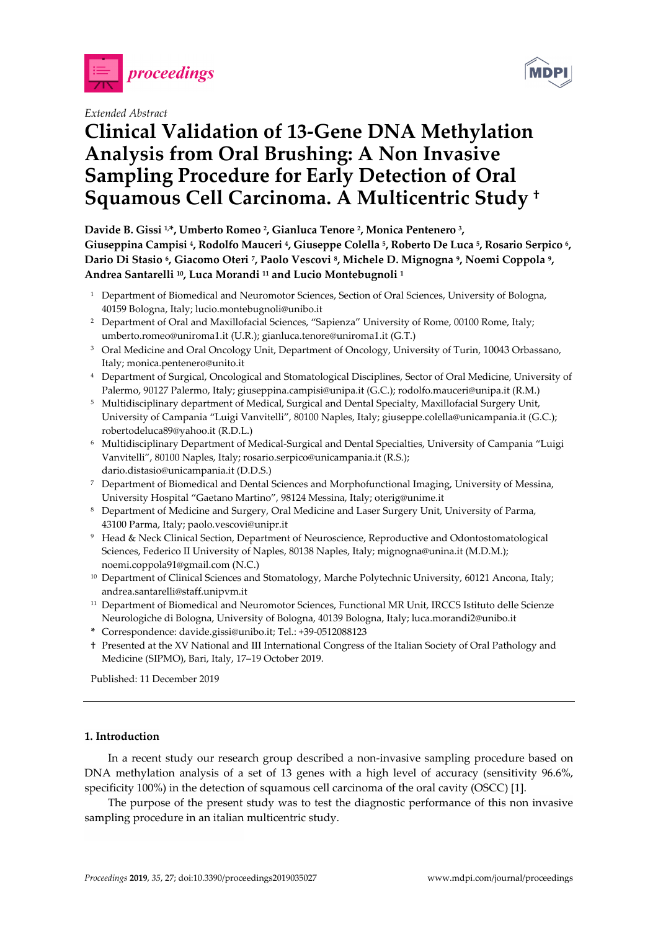

*Extended Abstract* 



# **Clinical Validation of 13-Gene DNA Methylation Analysis from Oral Brushing: A Non Invasive Sampling Procedure for Early Detection of Oral Squamous Cell Carcinoma. A Multicentric Study †**

**Davide B. Gissi 1,\*, Umberto Romeo 2, Gianluca Tenore 2, Monica Pentenero 3, Giuseppina Campisi 4, Rodolfo Mauceri 4, Giuseppe Colella 5, Roberto De Luca 5, Rosario Serpico 6, Dario Di Stasio 6, Giacomo Oteri 7, Paolo Vescovi 8, Michele D. Mignogna 9, Noemi Coppola 9, Andrea Santarelli 10, Luca Morandi 11 and Lucio Montebugnoli 1**

- <sup>1</sup> Department of Biomedical and Neuromotor Sciences, Section of Oral Sciences, University of Bologna, 40159 Bologna, Italy; lucio.montebugnoli@unibo.it
- <sup>2</sup> Department of Oral and Maxillofacial Sciences, "Sapienza" University of Rome, 00100 Rome, Italy; umberto.romeo@uniroma1.it (U.R.); gianluca.tenore@uniroma1.it (G.T.)
- <sup>3</sup> Oral Medicine and Oral Oncology Unit, Department of Oncology, University of Turin, 10043 Orbassano, Italy; monica.pentenero@unito.it
- 4 Department of Surgical, Oncological and Stomatological Disciplines, Sector of Oral Medicine, University of Palermo, 90127 Palermo, Italy; giuseppina.campisi@unipa.it (G.C.); rodolfo.mauceri@unipa.it (R.M.)
- <sup>5</sup> Multidisciplinary department of Medical, Surgical and Dental Specialty, Maxillofacial Surgery Unit, University of Campania "Luigi Vanvitelli", 80100 Naples, Italy; giuseppe.colella@unicampania.it (G.C.); robertodeluca89@yahoo.it (R.D.L.)
- 6 Multidisciplinary Department of Medical-Surgical and Dental Specialties, University of Campania "Luigi Vanvitelli", 80100 Naples, Italy; rosario.serpico@unicampania.it (R.S.); dario.distasio@unicampania.it (D.D.S.)
- 7 Department of Biomedical and Dental Sciences and Morphofunctional Imaging, University of Messina, University Hospital "Gaetano Martino", 98124 Messina, Italy; oterig@unime.it
- 8 Department of Medicine and Surgery, Oral Medicine and Laser Surgery Unit, University of Parma, 43100 Parma, Italy; paolo.vescovi@unipr.it
- 9 Head & Neck Clinical Section, Department of Neuroscience, Reproductive and Odontostomatological Sciences, Federico II University of Naples, 80138 Naples, Italy; mignogna@unina.it (M.D.M.); noemi.coppola91@gmail.com (N.C.)
- <sup>10</sup> Department of Clinical Sciences and Stomatology, Marche Polytechnic University, 60121 Ancona, Italy; andrea.santarelli@staff.unipvm.it
- 11 Department of Biomedical and Neuromotor Sciences, Functional MR Unit, IRCCS Istituto delle Scienze Neurologiche di Bologna, University of Bologna, 40139 Bologna, Italy; luca.morandi2@unibo.it
- **\*** Correspondence: davide.gissi@unibo.it; Tel.: +39-0512088123
- † Presented at the XV National and III International Congress of the Italian Society of Oral Pathology and Medicine (SIPMO), Bari, Italy, 17–19 October 2019.

Published: 11 December 2019

## **1. Introduction**

In a recent study our research group described a non-invasive sampling procedure based on DNA methylation analysis of a set of 13 genes with a high level of accuracy (sensitivity 96.6%, specificity 100%) in the detection of squamous cell carcinoma of the oral cavity (OSCC) [1].

The purpose of the present study was to test the diagnostic performance of this non invasive sampling procedure in an italian multicentric study.